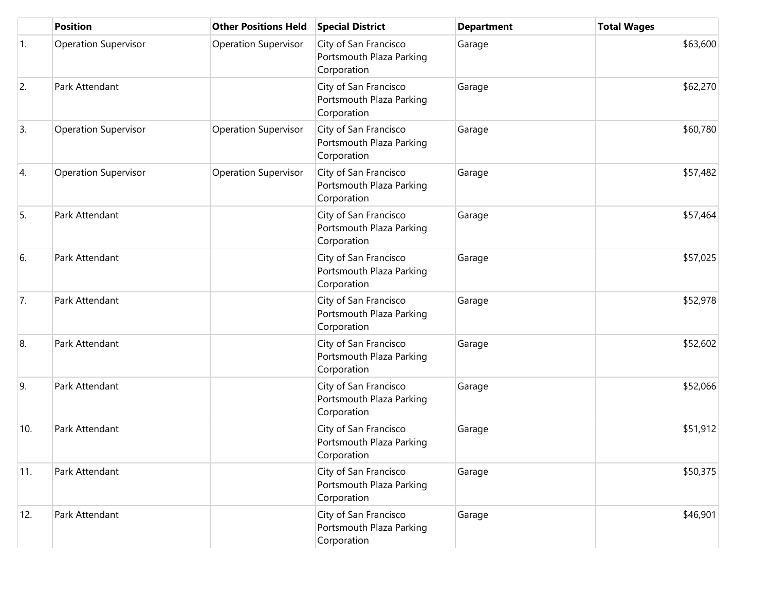|     | <b>Position</b>             | <b>Other Positions Held</b> | <b>Special District</b>                                          | <b>Department</b> | <b>Total Wages</b> |
|-----|-----------------------------|-----------------------------|------------------------------------------------------------------|-------------------|--------------------|
| 1.  | <b>Operation Supervisor</b> | <b>Operation Supervisor</b> | City of San Francisco<br>Portsmouth Plaza Parking<br>Corporation | Garage            | \$63,600           |
| 2.  | Park Attendant              |                             | City of San Francisco<br>Portsmouth Plaza Parking<br>Corporation | Garage            | \$62,270           |
| 3.  | <b>Operation Supervisor</b> | <b>Operation Supervisor</b> | City of San Francisco<br>Portsmouth Plaza Parking<br>Corporation | Garage            | \$60,780           |
| 4.  | <b>Operation Supervisor</b> | <b>Operation Supervisor</b> | City of San Francisco<br>Portsmouth Plaza Parking<br>Corporation | Garage            | \$57,482           |
| 5.  | Park Attendant              |                             | City of San Francisco<br>Portsmouth Plaza Parking<br>Corporation | Garage            | \$57,464           |
| 6.  | Park Attendant              |                             | City of San Francisco<br>Portsmouth Plaza Parking<br>Corporation | Garage            | \$57,025           |
| 7.  | Park Attendant              |                             | City of San Francisco<br>Portsmouth Plaza Parking<br>Corporation | Garage            | \$52,978           |
| 8.  | Park Attendant              |                             | City of San Francisco<br>Portsmouth Plaza Parking<br>Corporation | Garage            | \$52,602           |
| 9.  | Park Attendant              |                             | City of San Francisco<br>Portsmouth Plaza Parking<br>Corporation | Garage            | \$52,066           |
| 10. | Park Attendant              |                             | City of San Francisco<br>Portsmouth Plaza Parking<br>Corporation | Garage            | \$51,912           |
| 11. | Park Attendant              |                             | City of San Francisco<br>Portsmouth Plaza Parking<br>Corporation | Garage            | \$50,375           |
| 12. | Park Attendant              |                             | City of San Francisco<br>Portsmouth Plaza Parking<br>Corporation | Garage            | \$46,901           |